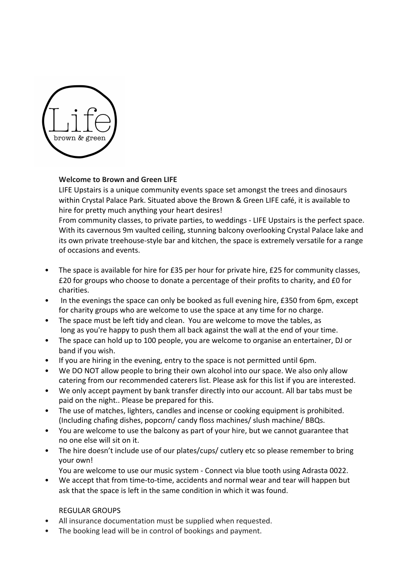

## **Welcome to Brown and Green LIFE**

LIFE Upstairs is a unique community events space set amongst the trees and dinosaurs within Crystal Palace Park. Situated above the Brown & Green LIFE café, it is available to hire for pretty much anything your heart desires!

From community classes, to private parties, to weddings - LIFE Upstairs is the perfect space. With its cavernous 9m vaulted ceiling, stunning balcony overlooking Crystal Palace lake and its own private treehouse-style bar and kitchen, the space is extremely versatile for a range of occasions and events.

- The space is available for hire for £35 per hour for private hire, £25 for community classes, £20 for groups who choose to donate a percentage of their profits to charity, and £0 for charities.
- In the evenings the space can only be booked as full evening hire, £350 from 6pm, except for charity groups who are welcome to use the space at any time for no charge.
- The space must be left tidy and clean. You are welcome to move the tables, as long as you're happy to push them all back against the wall at the end of your time.
- The space can hold up to 100 people, you are welcome to organise an entertainer, DJ or band if you wish.
- If you are hiring in the evening, entry to the space is not permitted until 6pm.
- We DO NOT allow people to bring their own alcohol into our space. We also only allow catering from our recommended caterers list. Please ask for this list if you are interested.
- We only accept payment by bank transfer directly into our account. All bar tabs must be paid on the night.. Please be prepared for this.
- The use of matches, lighters, candles and incense or cooking equipment is prohibited. (Including chafing dishes, popcorn/ candy floss machines/ slush machine/ BBQs.
- You are welcome to use the balcony as part of your hire, but we cannot guarantee that no one else will sit on it.
- The hire doesn't include use of our plates/cups/ cutlery etc so please remember to bring your own!
	- You are welcome to use our music system Connect via blue tooth using Adrasta 0022.
- We accept that from time-to-time, accidents and normal wear and tear will happen but ask that the space is left in the same condition in which it was found.

## REGULAR GROUPS

- All insurance documentation must be supplied when requested.
- The booking lead will be in control of bookings and payment.
- The booking lead will take a register of the number of attendees to the session and share with Brown and Green upon request.
- Booking fees are still due if a session is cancelled.
- We recognize that regular groups may be interrupted by Easter and Christmas holidays